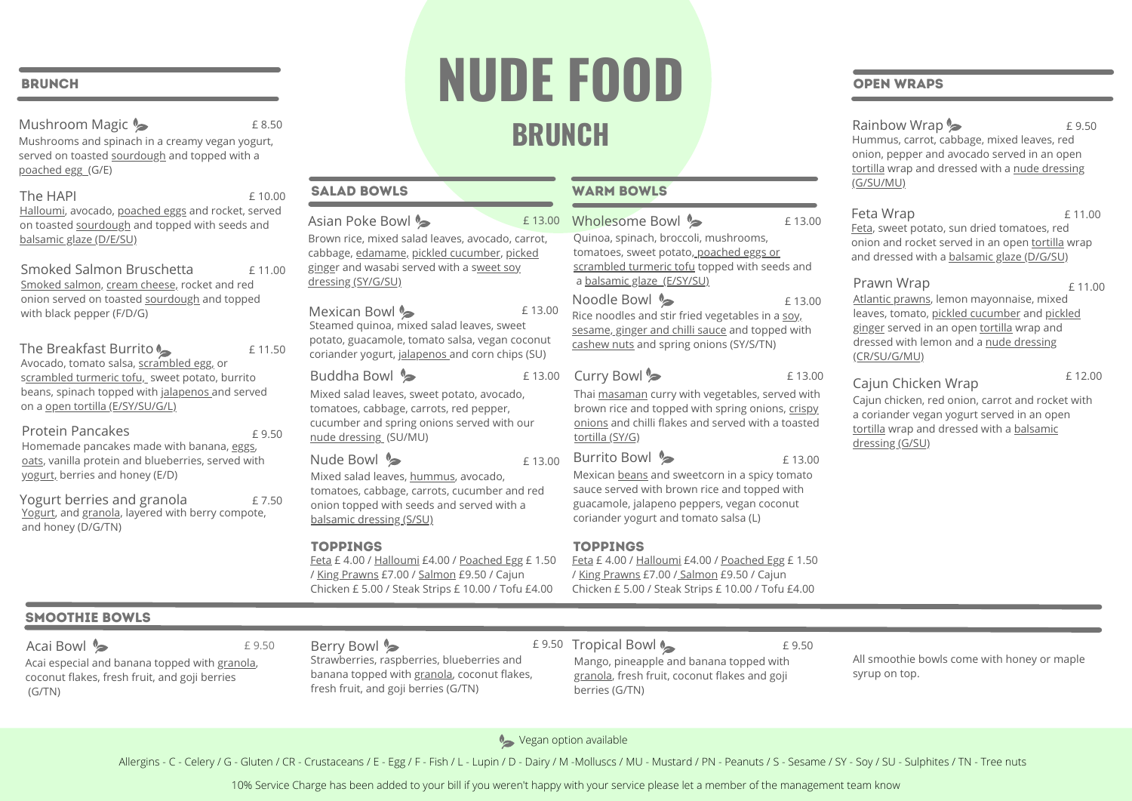#### **BRUNCH**

Mushroom Magic Mushrooms and spinach in a creamy vegan yogurt, served on toasted sourdough and topped with a poached egg (G/E) £ 8.50

The HAPI Halloumi, avocado, poached eggs and rocket, served on toasted sourdough and topped with seeds and balsamic glaze (D/E/SU) £ 10.00

Smoked Salmon Bruschetta Smoked salmon, cream cheese, rocket and red onion served on toasted sourdough and topped with black pepper (F/D/G) £ 11.00

The Breakfast Burrito Avocado, tomato salsa, scrambled egg, or scrambled turmeric tofu, sweet potato, burrito beans, spinach topped with jalapenos and served on a open tortilla (E/SY/SU/G/L) £ 11.50

Protein Pancakes Homemade pancakes made with banana, eggs, oats, vanilla protein and blueberries, served with yogurt, berries and honey (E/D) £ 9.50

Yogurt berries and granola Yogurt, and granola, layered with berry compote, and honey (D/G/TN) £ 7.50

# **NUDE FOOD BRUNCH**

| £13.00                          | Wholesome Bowl                                                                                                                                                               | £13.00 |  |
|---------------------------------|------------------------------------------------------------------------------------------------------------------------------------------------------------------------------|--------|--|
| arrot,<br>ked                   | Quinoa, spinach, broccoli, mushrooms,<br>tomatoes, sweet potato, poached eggs or<br>scrambled turmeric tofu topped with seeds and<br>a balsamic glaze (E/SY/SU)              |        |  |
| £13.00<br>۱t<br>conut<br>ร (SU) | Noodle Bowl •<br>Rice noodles and stir fried vegetables in a soy,<br>sesame, ginger and chilli sauce and topped with<br>cashew nuts and spring onions (SY/S/TN)              | £13.00 |  |
| £13.00                          | Curry Bowl                                                                                                                                                                   | £13.00 |  |
| Ι,<br><b>ur</b>                 | Thai masaman curry with vegetables, served with<br>brown rice and topped with spring onions, crispy<br>onions and chilli flakes and served with a toasted<br>tortilla (SY/G) |        |  |
| £13.00                          | Burrito Bowl <b>S</b>                                                                                                                                                        | £13.00 |  |
| d red                           | Mexican beans and sweetcorn in a spicy tomato<br>sauce served with brown rice and topped with                                                                                |        |  |

guacamole, jalapeno peppers, vegan coconut coriander yogurt and tomato salsa (L)

#### TOPPINGS TOPPINGS

Feta £ 4.00 / Halloumi £4.00 / Poached Egg £ 1.50 / King Prawns £7.00 / Salmon £9.50 / Cajun Chicken £ 5.00 / Steak Strips £ 10.00 / Tofu £4.00

#### OPEN WRAPS

Rainbow Wrap

Hummus, carrot, cabbage, mixed leaves, red onion, pepper and avocado served in an open tortilla wrap and dressed with a nude dressing (G/SU/MU) £ 9.50

#### Feta Wrap Feta, sweet potato, sun dried tomatoes, red onion and rocket served in an open tortilla wrap and dressed with a balsamic glaze (D/G/SU) £ 11.00

#### Prawn Wrap

Atlantic prawns, lemon mayonnaise, mixed leaves, tomato, pickled cucumber and pickled ginger served in an open tortilla wrap and dressed with lemon and a nude dressing (CR/SU/G/MU)  $£ 11.00$ 

#### Cajun Chicken Wrap

£ 12.00

Cajun chicken, red onion, carrot and rocket with a coriander vegan yogurt served in an open tortilla wrap and dressed with a balsamic dressing (G/SU)

#### SMOOTHIE BOWLS

Acai Bowl  $\triangleright$ 

Acai especial and banana topped with granola, coconut flakes, fresh fruit, and goji berries (G/TN)

Berry Bowl **S** Strawberries, raspberries, blueberries and banana topped with granola, coconut flakes, fresh fruit, and goji berries (G/TN) £ 9.50 E 9.50 E 9.50 E 9.50 E 9.50 E 9.50 E 9.50 E 9.50 E 9.50 E 9.50

Feta £ 4.00 / Halloumi £4.00 / Poached Egg £ 1.50 / King Prawns £7.00 / Salmon £9.50 / Cajun Chicken £ 5.00 / Steak Strips £ 10.00 / Tofu £4.00

Brown rice, mixed salad leaves, avocado, carrot, cabbage, edamame, pickled cucumber, picked ginger and wasabi served with a sweet soy

SALAD BOWLS WARM BOWLS

Steamed quinoa, mixed salad leaves, sweet potato, guacamole, tomato salsa, vegan coconut coriander yogurt, jalapenos and corn chips (SU)

Mixed salad leaves, sweet potato, avocado, tomatoes, cabbage, carrots, red pepper, cucumber and spring onions served with our

Mixed salad leaves, hummus, avocado, tomatoes, cabbage, carrots, cucumber and red onion topped with seeds and served with a

dressing (SY/G/SU)

Mexican Bowl <

Buddha Bowl **&** 

nude dressing (SU/MU)

balsamic dressing (S/SU)

Nude Bowl **S** 

Asian Poke Bowl

Mango, pineapple and banana topped with granola, fresh fruit, coconut flakes and goji berries (G/TN)

All smoothie bowls come with honey or maple syrup on top.

Vegan option available

Allergins - C - Celery / G - Gluten / CR - Crustaceans / E - Egg / F - Fish / L - Lupin / D - Dairy / M -Molluscs / MU - Mustard / PN - Peanuts / S - Sesame / SY - Soy / SU - Sulphites / TN - Tree nuts

10% Service Charge has been added to your bill if you weren't happy with your service please let a member of the management team know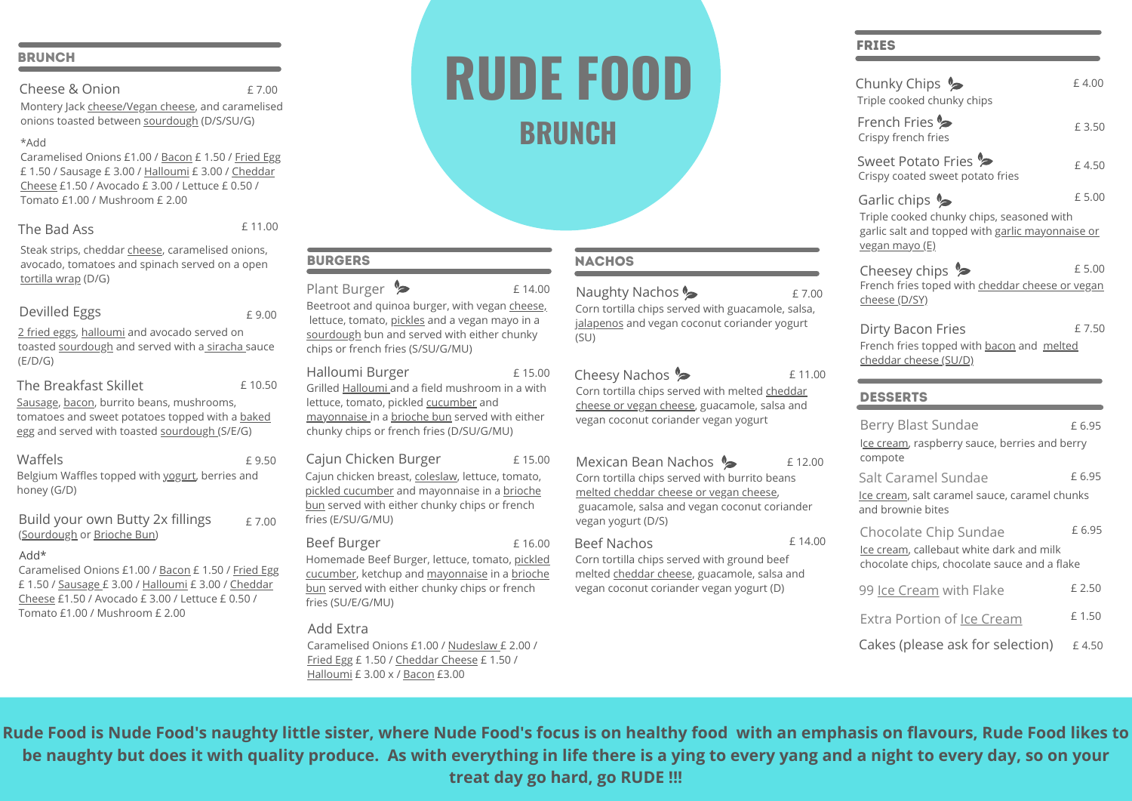#### **BRUNCH**

Cheese & Onion

£ 7.00

Montery Jack cheese/Vegan cheese, and caramelised onions toasted between sourdough (D/S/SU/G)

#### \*Add

Caramelised Onions £1.00 / Bacon £ 1.50 / Fried Egg £ 1.50 / Sausage £ 3.00 / Halloumi £ 3.00 / Cheddar Cheese £1.50 / Avocado £ 3.00 / Lettuce £ 0.50 / Tomato £1.00 / Mushroom £ 2.00

#### The Bad Ass

£ 11.00

Steak strips, cheddar cheese, caramelised onions, avocado, tomatoes and spinach served on a open tortilla wrap (D/G)

#### Devilled Eggs

2 fried eggs, halloumi and avocado served on toasted sourdough and served with a siracha sauce (E/D/G)

#### The Breakfast Skillet

Sausage, bacon, burrito beans, mushrooms, tomatoes and sweet potatoes topped with a baked egg and served with toasted sourdough (S/E/G)

Belgium Waffles topped with yogurt, berries and honey (G/D)

Build your own Butty 2x fillings (Sourdough or Brioche Bun) £ 7.00

#### Add\*

Caramelised Onions £1.00 / Bacon £ 1.50 / Fried Egg £ 1.50 / Sausage £ 3.00 / Halloumi £ 3.00 / Cheddar Cheese £1.50 / Avocado £ 3.00 / Lettuce £ 0.50 / Tomato £1.00 / Mushroom £ 2.00

# **RUDE FOOD BRUNCH**

# **NACHOS**

£ 15.00

£ 16.00

Beetroot and quinoa burger, with vegan cheese, lettuce, tomato, pickles and a vegan mayo in a sourdough bun and served with either chunky chips or french fries (S/SU/G/MU) Plant Burger £ 14.00

#### Halloumi Burger

Grilled Halloumi and a field mushroom in a with lettuce, tomato, pickled cucumber and mayonnaise in a brioche bun served with either chunky chips or french fries (D/SU/G/MU)

#### Cajun Chicken Burger £ 15.00

Cajun chicken breast, coleslaw, lettuce, tomato, pickled cucumber and mayonnaise in a brioche bun served with either chunky chips or french fries (E/SU/G/MU)

#### Beef Burger

BURGERS

Homemade Beef Burger, lettuce, tomato, pickled cucumber, ketchup and mayonnaise in a brioche bun served with either chunky chips or french fries (SU/E/G/MU)

## Add Extra

Caramelised Onions £1.00 / Nudeslaw £ 2.00 / Fried Egg £ 1.50 / Cheddar Cheese £ 1.50 / Halloumi £ 3.00 x / Bacon £3.00

#### Corn tortilla chips served with guacamole, salsa, jalapenos and vegan coconut coriander yogurt (SU) Naughty Nachos

Cheesy Nachos Corn tortilla chips served with melted cheddar cheese or vegan cheese, guacamole, salsa and vegan coconut coriander vegan yogurt £ 11.00

Mexican Bean Nachos Corn tortilla chips served with burrito beans melted cheddar cheese or vegan cheese, guacamole, salsa and vegan coconut coriander vegan yogurt (D/S) £ 12.00

#### Beef Nachos

Corn tortilla chips served with ground beef melted cheddar cheese, guacamole, salsa and vegan coconut coriander vegan yogurt (D)

## FRIES

£ 7.00

£ 14.00

| Chunky Chips $\clubsuit$<br>Triple cooked chunky chips                                                                                                    | £4.00  |  |  |  |
|-----------------------------------------------------------------------------------------------------------------------------------------------------------|--------|--|--|--|
| French Fries <>><br>Crispy french fries                                                                                                                   | £3.50  |  |  |  |
| Sweet Potato Fries<br>Crispy coated sweet potato fries                                                                                                    | £4.50  |  |  |  |
| £5.00<br>Garlic chips $\triangleright$<br>Triple cooked chunky chips, seasoned with<br>garlic salt and topped with garlic mayonnaise or<br>vegan mayo (E) |        |  |  |  |
| Cheesey chips ?<br>French fries toped with cheddar cheese or vegan<br>cheese (D/SY)                                                                       | £5.00  |  |  |  |
| Dirty Bacon Fries<br>French fries topped with bacon and melted                                                                                            | £7.50  |  |  |  |
| cheddar cheese (SU/D)                                                                                                                                     |        |  |  |  |
| <b>DESSERTS</b>                                                                                                                                           |        |  |  |  |
| Berry Blast Sundae<br>Ice cream, raspberry sauce, berries and berry                                                                                       | £6.95  |  |  |  |
| compote<br>Salt Caramel Sundae<br>Ice cream, salt caramel sauce, caramel chunks<br>and brownie bites                                                      | £6.95  |  |  |  |
| Chocolate Chip Sundae<br>Ice cream, callebaut white dark and milk<br>chocolate chips, chocolate sauce and a flake                                         | £ 6.95 |  |  |  |
| 99 Ice Cream with Flake                                                                                                                                   | £ 2.50 |  |  |  |
| Extra Portion of Ice Cream                                                                                                                                | £1.50  |  |  |  |

**Rude Food is Nude Food's naughty little sister, where Nude Food's focus is on healthy food with an emphasis on flavours, Rude Food likes to be naughty but does it with quality produce. As with everything in life there is a ying to every yang and a night to every day, so on your treat day go hard, go RUDE !!!**

£ 9.00

£ 10.50

£ 9.50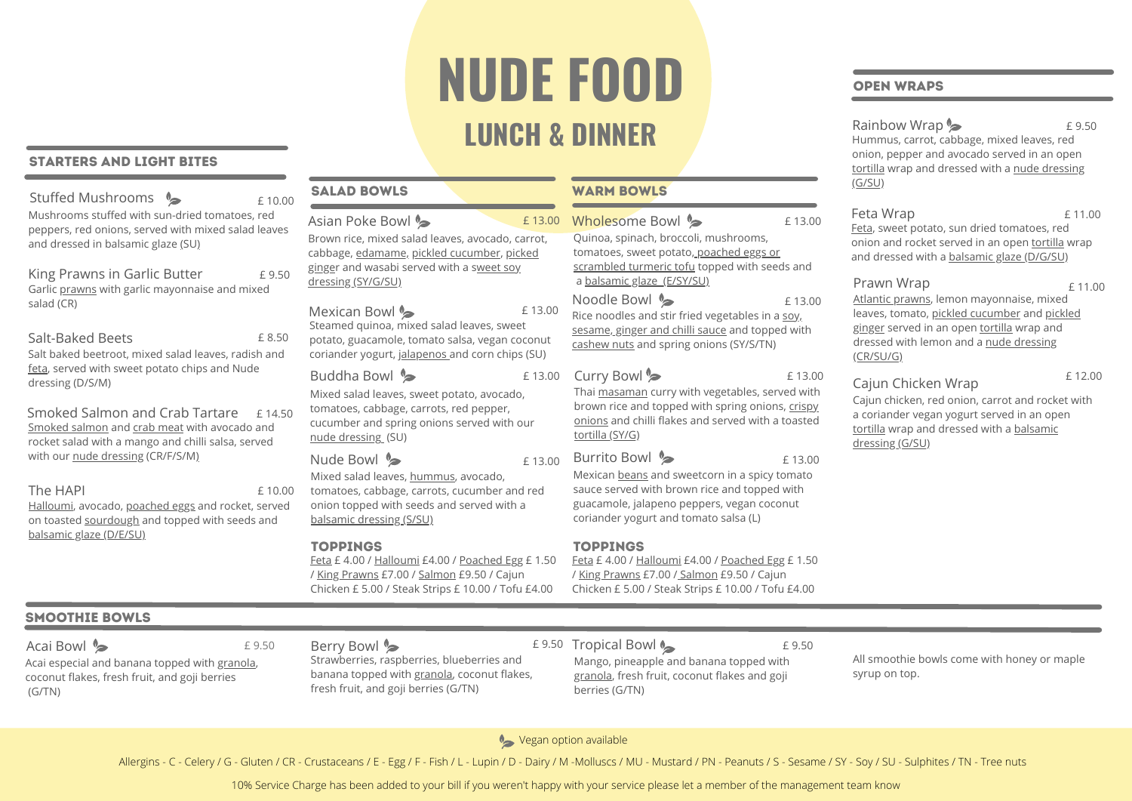# **NUDE FOOD LUNCH & DINNER**

#### STARTERS AND LIGHT BITES

| Stuffed Mushrooms •                                                                                                                         |  | £10.00 | <b>SALAD BOWLS</b>                                                                                    |
|---------------------------------------------------------------------------------------------------------------------------------------------|--|--------|-------------------------------------------------------------------------------------------------------|
| Mushrooms stuffed with sun-dried tomatoes, red<br>peppers, red onions, served with mixed salad leaves<br>and dressed in balsamic glaze (SU) |  |        | Asian Poke Bowl<br>Brown rice, mixed salad<br>cabbage, edamame, pio                                   |
| King Prawns in Garlic Butter<br>Garlic prawns with garlic mayonnaise and mixed                                                              |  | £9.50  | ginger and wasabi serv<br>dressing (SY/G/SU)                                                          |
| salad (CR)<br>Salt-Baked Beets<br>Salt baked beetroot, mixed salad leaves, radish and                                                       |  | £8.50  | Mexican Bowl <a><br/>Steamed quinoa, mixed<br/>potato, guacamole, ton<br/>coriander yogurt, jalap</a> |
| feta, served with sweet potato chips and Nude<br>dressing (D/S/M)                                                                           |  |        | Buddha Bowl <b>%</b><br>Mixed salad leaves, sw                                                        |
| Smoked Salmon and Crab Tartare<br>Smoked salmon and crab meat with avocado and<br>rocket salad with a mango and chilli salsa, served        |  | £14.50 | tomatoes, cabbage, car<br>cucumber and spring c<br>nude dressing (SU)                                 |
| with our nude dressing (CR/F/S/M)                                                                                                           |  |        | Nude Bowl <b>®</b><br>Mixed salad leaves, hu                                                          |
| The HAPI<br>Halloumi, avocado, poached eggs and rocket, served<br>on toasted sourdough and topped with seeds and                            |  | £10.00 | tomatoes, cabbage, car<br>onion topped with see<br>balsamic dressing (S/SI                            |
| balsamic glaze (D/E/SU)                                                                                                                     |  |        | <b>TOPPINGS</b><br>Feta £ 4.00 / Halloumi<br>/ King Prawns £7.00 / S<br>Chicken £ 5.00 / Steak !      |
|                                                                                                                                             |  |        |                                                                                                       |

## SMOOTHIE BOWLS

Acai Bowl  $\triangleright$ 

Acai especial and banana topped with granola, coconut flakes, fresh fruit, and goji berries (G/TN)

# d leaves, avocado, carrot, kled cucumber, picked ed with a sweet soy £ 13.00

#### Steamed quinoa, mixed salad leaves, sweet nato salsa, vegan coconut enos and corn chips (SU) £ 13.00

eet potato, avocado, rrots, red pepper, cucumber and spring onions served with our

mmus, avocado, rrots, cucumber and red ds and served with a balsamic dressing (S/SU)

 $£4.00$  / Poached Egg  $£ 1.50$  $\delta$ almon £9.50 / Cajun Strips £ 10.00 / Tofu £4.00

#### **WARM BOWLS**

#### Quinoa, spinach, broccoli, mushrooms, tomatoes, sweet potato, poached eggs or scrambled turmeric tofu topped with seeds and a balsamic glaze (E/SY/SU) Noodle Bowl **S** Rice noodles and stir fried vegetables in a soy, sesame, ginger and chilli sauce and topped with cashew nuts and spring onions (SY/S/TN) Wholesome Bowl  $\bullet$ £ 13.00 £ 13.00

#### Curry Bowl<sup>®</sup>

Thai masaman curry with vegetables, served with brown rice and topped with spring onions, crispy onions and chilli flakes and served with a toasted tortilla (SY/G)

# $E$  13.00 Burrito Bowl  $\approx$   $E$  13.00

Mexican beans and sweetcorn in a spicy tomato sauce served with brown rice and topped with guacamole, jalapeno peppers, vegan coconut coriander yogurt and tomato salsa (L)

#### **TOPPINGS**

Feta £ 4.00 / Halloumi £4.00 / Poached Egg £ 1.50 / King Prawns £7.00 / Salmon £9.50 / Cajun Chicken £ 5.00 / Steak Strips £ 10.00 / Tofu £4.00

### OPEN WRAPS

Rainbow Wrap

Hummus, carrot, cabbage, mixed leaves, red onion, pepper and avocado served in an open tortilla wrap and dressed with a nude dressing (G/SU) £ 9.50

# Feta Wrap

£ 13.00

Feta, sweet potato, sun dried tomatoes, red onion and rocket served in an open tortilla wrap and dressed with a balsamic glaze (D/G/SU) £ 11.00

#### Prawn Wrap

Atlantic prawns, lemon mayonnaise, mixed leaves, tomato, pickled cucumber and pickled ginger served in an open tortilla wrap and dressed with lemon and a nude dressing (CR/SU/G)

# Cajun Chicken Wrap

£ 12.00

 $£ 11.00$ 

Cajun chicken, red onion, carrot and rocket with a coriander vegan yogurt served in an open tortilla wrap and dressed with a balsamic dressing (G/SU)

Mango, pineapple and banana topped with granola, fresh fruit, coconut flakes and goji berries (G/TN)

All smoothie bowls come with honey or maple syrup on top.

Vegan option available

Allergins - C - Celery / G - Gluten / CR - Crustaceans / E - Egg / F - Fish / L - Lupin / D - Dairy / M -Molluscs / MU - Mustard / PN - Peanuts / S - Sesame / SY - Soy / SU - Sulphites / TN - Tree nuts

10% Service Charge has been added to your bill if you weren't happy with your service please let a member of the management team know

# Berry Bowl **S**

Strawberries, raspberries, blueberries and banana topped with granola, coconut flakes, fresh fruit, and goji berries (G/TN) £ 9.50 E 9.50 E 9.50 E 9.50 E 9.50 E 9.50 E 9.50 E 9.50 E 9.50 E 9.50

£ 13.00